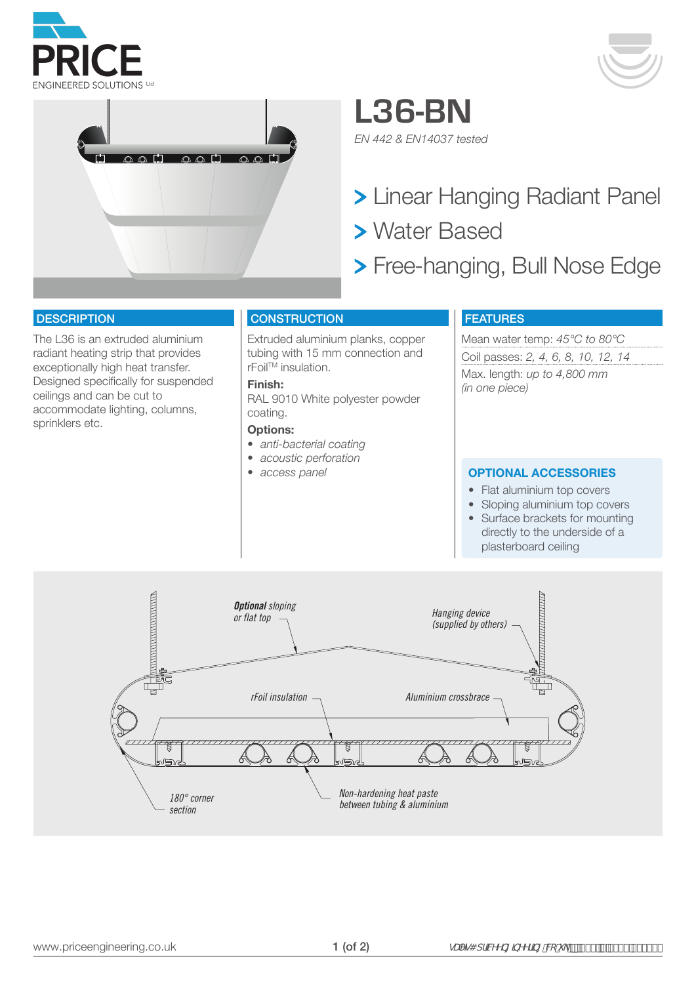





**L36-BN** *EN 442 & EN14037 tested*

> Linear Hanging Radiant Panel

- Water Based
- Free-hanging, Bull Nose Edge

### **DESCRIPTION**

The L36 is an extruded aluminium radiant heating strip that provides exceptionally high heat transfer. Designed specifically for suspended ceilings and can be cut to accommodate lighting, columns, sprinklers etc.

## **CONSTRUCTION**

Extruded aluminium planks, copper tubing with 15 mm connection and rFoilTM insulation.

## **Finish:**

RAL 9010 White polyester powder coating.

#### **Options:**

- *• anti-bacterial coating*
- *• acoustic perforation*
- 

## FEATURES

Mean water temp: *45°C to 80°C* Coil passes: *2, 4, 6, 8, 10, 12, 14* Max. length: *up to 4,800 mm (in one piece)*

#### *• access panel* **OPTIONAL ACCESSORIES**

- Flat aluminium top covers
- Sloping aluminium top covers • Surface brackets for mounting directly to the underside of a plasterboard ceiling